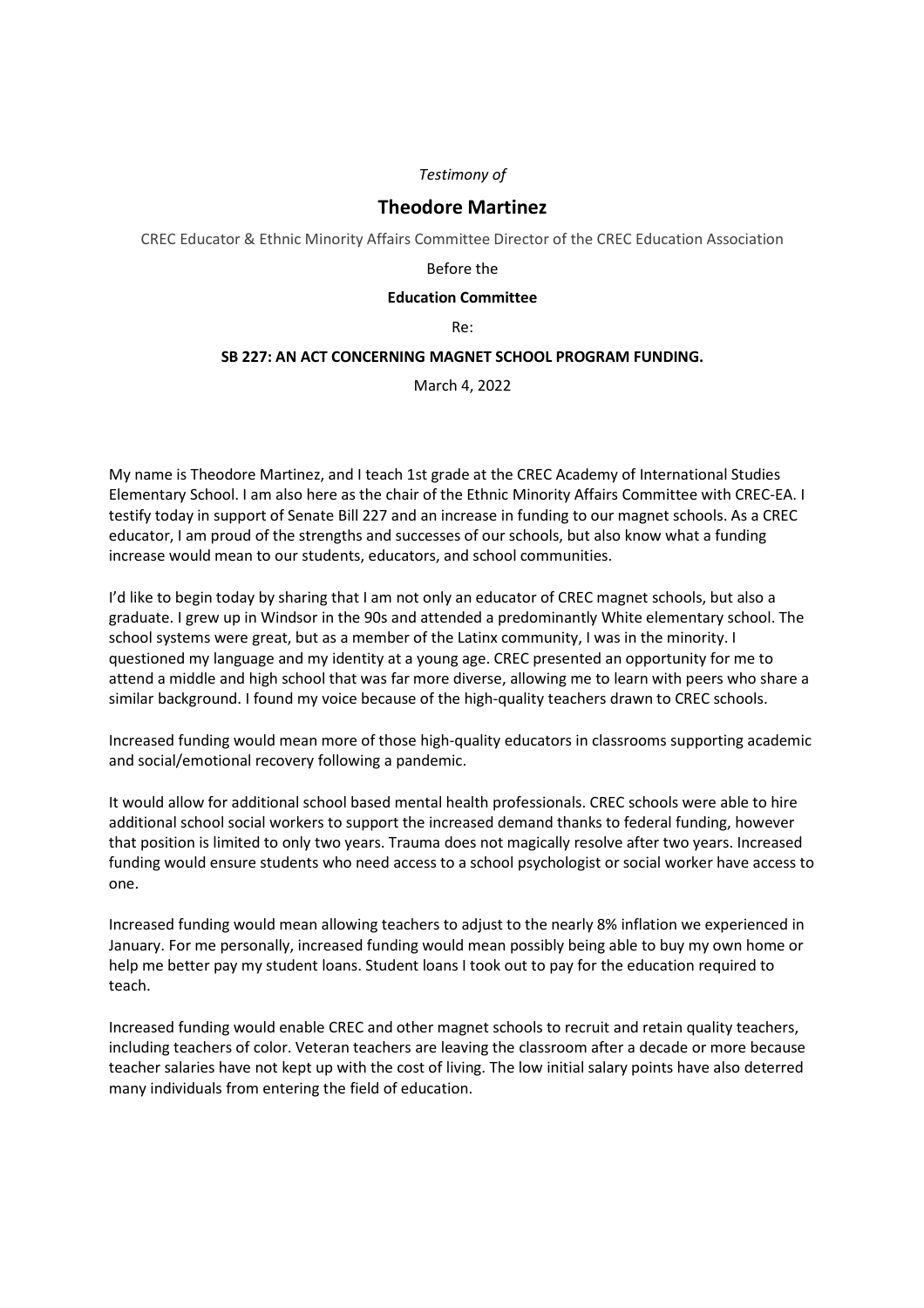## *Testimony of*

# **Theodore Martinez**

CREC Educator & Ethnic Minority Affairs Committee Director of the CREC Education Association

#### Before the

### **Education Committee**

Re:

## **SB 227: AN ACT CONCERNING MAGNET SCHOOL PROGRAM FUNDING.**

March 4, 2022

My name is Theodore Martinez, and I teach 1st grade at the CREC Academy of International Studies Elementary School. I am also here as the chair of the Ethnic Minority Affairs Committee with CREC-EA. I testify today in support of Senate Bill 227 and an increase in funding to our magnet schools. As a CREC educator, I am proud of the strengths and successes of our schools, but also know what a funding increase would mean to our students, educators, and school communities.

I'd like to begin today by sharing that I am not only an educator of CREC magnet schools, but also a graduate. I grew up in Windsor in the 90s and attended a predominantly White elementary school. The school systems were great, but as a member of the Latinx community, I was in the minority. I questioned my language and my identity at a young age. CREC presented an opportunity for me to attend a middle and high school that was far more diverse, allowing me to learn with peers who share a similar background. I found my voice because of the high-quality teachers drawn to CREC schools.

Increased funding would mean more of those high-quality educators in classrooms supporting academic and social/emotional recovery following a pandemic.

It would allow for additional school based mental health professionals. CREC schools were able to hire additional school social workers to support the increased demand thanks to federal funding, however that position is limited to only two years. Trauma does not magically resolve after two years. Increased funding would ensure students who need access to a school psychologist or social worker have access to one.

Increased funding would mean allowing teachers to adjust to the nearly 8% inflation we experienced in January. For me personally, increased funding would mean possibly being able to buy my own home or help me better pay my student loans. Student loans I took out to pay for the education required to teach.

Increased funding would enable CREC and other magnet schools to recruit and retain quality teachers, including teachers of color. Veteran teachers are leaving the classroom after a decade or more because teacher salaries have not kept up with the cost of living. The low initial salary points have also deterred many individuals from entering the field of education.